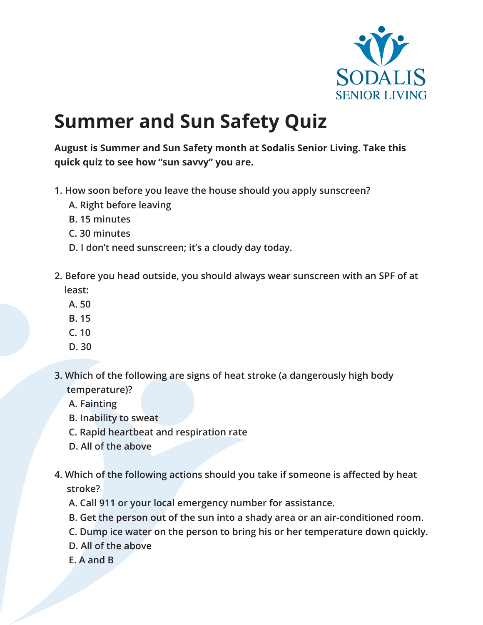

## **Summer and Sun Safety Quiz**

**August is Summer and Sun Safety month at Sodalis Senior Living. Take this quick quiz to see how "sun savvy" you are.**

- **1. How soon before you leave the house should you apply sunscreen?**
	- **A. Right before leaving**
	- **B. 15 minutes**
	- **C. 30 minutes**
	- **D. I don't need sunscreen; it's a cloudy day today.**
- **2. Before you head outside, you should always wear sunscreen with an SPF of at least:**
	- **A. 50**
	- **B. 15**
	- **C. 10**
	- **D. 30**
- **3. Which of the following are signs of heat stroke (a dangerously high body temperature)?**
	- **A. Fainting**
	- **B. Inability to sweat**
	- **C. Rapid heartbeat and respiration rate**
	- **D. All of the above**
- **4. Which of the following actions should you take if someone is affected by heat stroke?**
	- **A. Call 911 or your local emergency number for assistance.**
	- **B. Get the person out of the sun into a shady area or an air-conditioned room.**
	- **C. Dump ice water on the person to bring his or her temperature down quickly.**
	- **D. All of the above**
	- **E. A and B**